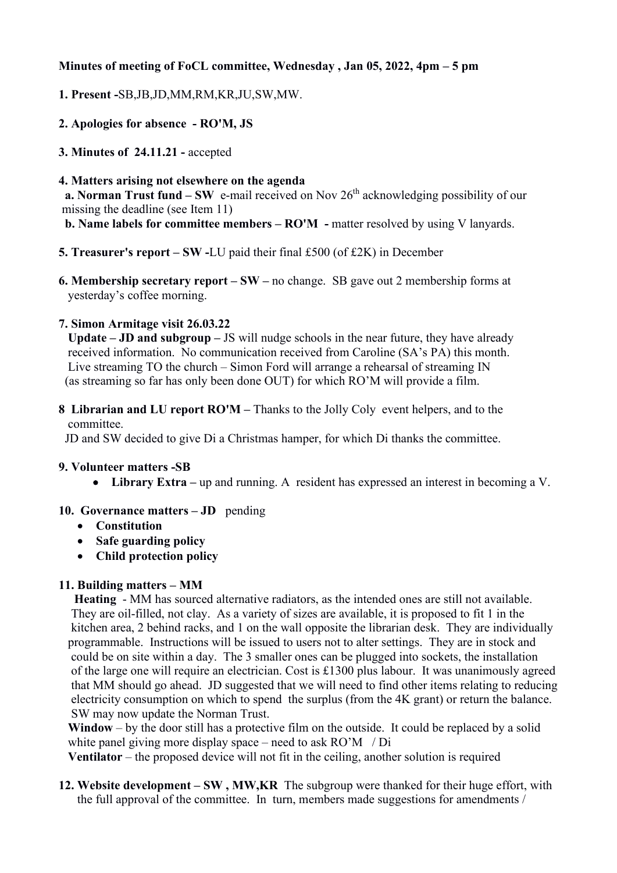### **Minutes of meeting of FoCL committee, Wednesday , Jan 05, 2022, 4pm – 5 pm**

- **1. Present -**SB,JB,JD,MM,RM,KR,JU,SW,MW.
- **2. Apologies for absence - RO'M, JS**
- **3. Minutes of 24.11.21 -** accepted
- **4. Matters arising not elsewhere on the agenda**

**a. Norman Trust fund – SW** e-mail received on Nov 26<sup>th</sup> acknowledging possibility of our missing the deadline (see Item 11)

**b. Name labels for committee members – RO'M -** matter resolved by using V lanyards.

- **5. Treasurer's report – SW -**LU paid their final £500 (of £2K) in December
- **6. Membership secretary report – SW –** no change. SB gave out 2 membership forms at yesterday's coffee morning.

## **7. Simon Armitage visit 26.03.22**

 **Update – JD and subgroup –** JS will nudge schools in the near future, they have already received information. No communication received from Caroline (SA's PA) this month. Live streaming TO the church – Simon Ford will arrange a rehearsal of streaming IN (as streaming so far has only been done OUT) for which RO'M will provide a film.

**8 Librarian and LU report RO'M –** Thanks to the Jolly Coly event helpers, and to the committee.

JD and SW decided to give Di a Christmas hamper, for which Di thanks the committee.

#### **9. Volunteer matters -SB**

• Library Extra – up and running. A resident has expressed an interest in becoming a V.

# **10. Governance matters – JD** pending

- **Constitution**
- **Safe guarding policy**
- **Child protection policy**

# **11. Building matters – MM**

 **Heating** - MM has sourced alternative radiators, as the intended ones are still not available. They are oil-filled, not clay. As a variety of sizes are available, it is proposed to fit 1 in the kitchen area, 2 behind racks, and 1 on the wall opposite the librarian desk. They are individually programmable. Instructions will be issued to users not to alter settings. They are in stock and could be on site within a day. The 3 smaller ones can be plugged into sockets, the installation of the large one will require an electrician. Cost is £1300 plus labour. It was unanimously agreed that MM should go ahead. JD suggested that we will need to find other items relating to reducing electricity consumption on which to spend the surplus (from the 4K grant) or return the balance. SW may now update the Norman Trust.

 **Window** – by the door still has a protective film on the outside. It could be replaced by a solid white panel giving more display space – need to ask RO'M / Di

**Ventilator** – the proposed device will not fit in the ceiling, another solution is required

**12. Website development – SW , MW,KR** The subgroup were thanked for their huge effort, with the full approval of the committee. In turn, members made suggestions for amendments /